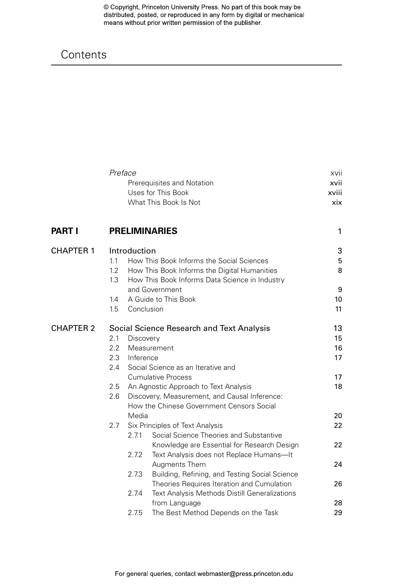# **Contents**

|                  | Preface      |            |                                                           | XVII  |
|------------------|--------------|------------|-----------------------------------------------------------|-------|
|                  |              |            | Prerequisites and Notation                                | xvii  |
|                  |              |            | Uses for This Book                                        | xviii |
|                  |              |            | What This Book Is Not                                     | xix   |
| PART I           |              |            | <b>PRELIMINARIES</b>                                      | 1     |
| <b>CHAPTER 1</b> | Introduction |            |                                                           | 3     |
|                  | 1.1          |            | How This Book Informs the Social Sciences                 | 5     |
|                  | 1.2          |            | How This Book Informs the Digital Humanities              | 8     |
|                  | 1.3          |            | How This Book Informs Data Science in Industry            |       |
|                  |              |            | and Government                                            | 9     |
|                  | $1.4\,$      |            | A Guide to This Book                                      | 10    |
|                  | 1.5          | Conclusion |                                                           | 11    |
| <b>CHAPTER 2</b> |              |            | Social Science Research and Text Analysis                 | 13    |
|                  | 2.1          | Discovery  |                                                           | 15    |
|                  | 2.2          |            | Measurement                                               | 16    |
|                  | 2.3          | Inference  |                                                           | 17    |
|                  | 2.4          |            | Social Science as an Iterative and                        |       |
|                  |              |            | Cumulative Process                                        | 17    |
|                  | 2.5          |            | An Agnostic Approach to Text Analysis                     | 18    |
|                  | 2.6          |            | Discovery, Measurement, and Causal Inference:             |       |
|                  |              |            | How the Chinese Government Censors Social                 |       |
|                  |              | Media      |                                                           | 20    |
|                  | 2.7          |            | Six Principles of Text Analysis                           | 22    |
|                  |              | 2.7.1      | Social Science Theories and Substantive                   | 22    |
|                  |              | 2.7.2      | Knowledge are Essential for Research Design               |       |
|                  |              |            | Text Analysis does not Replace Humans-It<br>Augments Them | 24    |
|                  |              | 2.73       | Building, Refining, and Testing Social Science            |       |
|                  |              |            | Theories Requires Iteration and Cumulation                | 26    |
|                  |              | 2.7.4      | Text Analysis Methods Distill Generalizations             |       |
|                  |              |            | from Language                                             | 28    |
|                  |              | 2.7.5      | The Best Method Depends on the Task                       | 29    |
|                  |              |            |                                                           |       |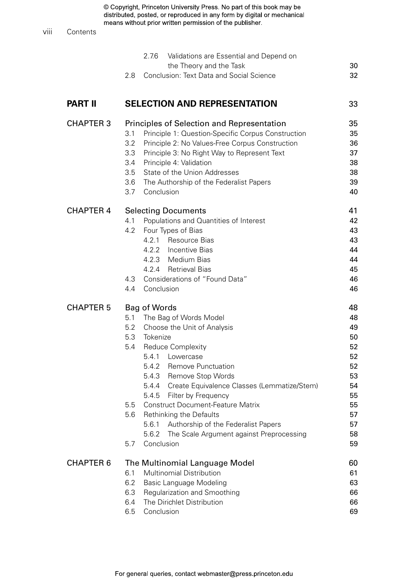#### viii Contents

|                  | 2.8                                           | 2.7.6<br>Validations are Essential and Depend on<br>the Theory and the Task<br>Conclusion: Text Data and Social Science                                                                                                                                                                                                                                                                                                                                         | 30<br>32                                                                               |
|------------------|-----------------------------------------------|-----------------------------------------------------------------------------------------------------------------------------------------------------------------------------------------------------------------------------------------------------------------------------------------------------------------------------------------------------------------------------------------------------------------------------------------------------------------|----------------------------------------------------------------------------------------|
| <b>PART II</b>   |                                               | <b>SELECTION AND REPRESENTATION</b>                                                                                                                                                                                                                                                                                                                                                                                                                             | 33                                                                                     |
| <b>CHAPTER 3</b> | 3.1<br>3.2<br>3.3<br>3.4<br>3.5<br>3.6<br>3.7 | Principles of Selection and Representation<br>Principle 1: Question-Specific Corpus Construction<br>Principle 2: No Values-Free Corpus Construction<br>Principle 3: No Right Way to Represent Text<br>Principle 4: Validation<br>State of the Union Addresses<br>The Authorship of the Federalist Papers<br>Conclusion                                                                                                                                          | 35<br>35<br>36<br>37<br>38<br>38<br>39<br>40                                           |
| <b>CHAPTER 4</b> | 4.1<br>4.2<br>4.3<br>4.4                      | <b>Selecting Documents</b><br>Populations and Quantities of Interest<br>Four Types of Bias<br>4.2.1 Resource Bias<br>4.2.2 Incentive Bias<br>4.2.3 Medium Bias<br>4.2.4 Retrieval Bias<br>Considerations of "Found Data"<br>Conclusion                                                                                                                                                                                                                          | 41<br>42<br>43<br>43<br>44<br>44<br>45<br>46<br>46                                     |
| <b>CHAPTER 5</b> | 5.1<br>5.2<br>5.3<br>5.4<br>5.5<br>5.6<br>5.7 | Bag of Words<br>The Bag of Words Model<br>Choose the Unit of Analysis<br>Tokenize<br>Reduce Complexity<br>5.4.1<br>Lowercase<br>5.4.2 Remove Punctuation<br>5.4.3 Remove Stop Words<br>5.4.4 Create Equivalence Classes (Lemmatize/Stem)<br>5.4.5 Filter by Frequency<br><b>Construct Document-Feature Matrix</b><br>Rethinking the Defaults<br>Authorship of the Federalist Papers<br>5.6.1<br>5.6.2<br>The Scale Argument against Preprocessing<br>Conclusion | 48<br>48<br>49<br>50<br>52<br>52<br>52<br>53<br>54<br>55<br>55<br>57<br>57<br>58<br>59 |
| <b>CHAPTER 6</b> | 6.1<br>6.2<br>6.3<br>6.4<br>6.5               | The Multinomial Language Model<br>Multinomial Distribution<br>Basic Language Modeling<br>Regularization and Smoothing<br>The Dirichlet Distribution<br>Conclusion                                                                                                                                                                                                                                                                                               | 60<br>61<br>63<br>66<br>66<br>69                                                       |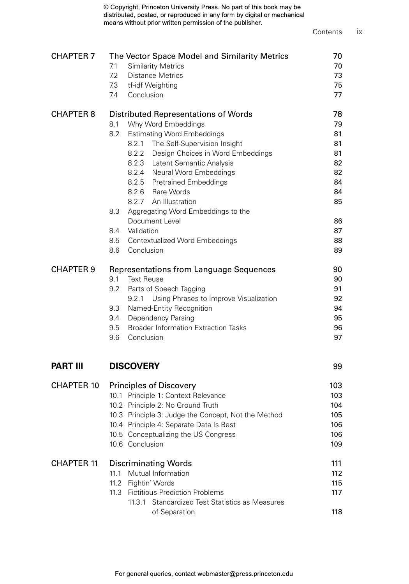Contents ix

| © Copyright, Princeton University Press. No part of this book may be    |
|-------------------------------------------------------------------------|
| distributed, posted, or reproduced in any form by digital or mechanical |
| means without prior written permission of the publisher                 |
|                                                                         |

| <b>CHAPTER 7</b>  | The Vector Space Model and Similarity Metrics<br>7.1<br><b>Similarity Metrics</b><br>7.2<br><b>Distance Metrics</b><br>7.3<br>tf-idf Weighting<br>7.4<br>Conclusion                                                                                                                                                                                                                                                                                                                                          | 70<br>70<br>73<br>75<br>77                                                       |
|-------------------|--------------------------------------------------------------------------------------------------------------------------------------------------------------------------------------------------------------------------------------------------------------------------------------------------------------------------------------------------------------------------------------------------------------------------------------------------------------------------------------------------------------|----------------------------------------------------------------------------------|
| <b>CHAPTER 8</b>  | Distributed Representations of Words<br>Why Word Embeddings<br>8.1<br>8.2<br><b>Estimating Word Embeddings</b><br>The Self-Supervision Insight<br>8.2.1<br>Design Choices in Word Embeddings<br>8.2.2<br>8.2.3 Latent Semantic Analysis<br>8.2.4 Neural Word Embeddings<br>8.2.5 Pretrained Embeddings<br>8.2.6 Rare Words<br>8.2.7 An Illustration<br>Aggregating Word Embeddings to the<br>8.3<br>Document Level<br>8.4<br>Validation<br>8.5<br><b>Contextualized Word Embeddings</b><br>8.6<br>Conclusion | 78<br>79<br>81<br>81<br>81<br>82<br>82<br>84<br>84<br>85<br>86<br>87<br>88<br>89 |
| <b>CHAPTER 9</b>  | <b>Representations from Language Sequences</b><br>9.1<br><b>Text Reuse</b><br>9.2<br>Parts of Speech Tagging<br>Using Phrases to Improve Visualization<br>9.2.1<br>Named-Entity Recognition<br>9.3<br>9.4<br>Dependency Parsing<br><b>Broader Information Extraction Tasks</b><br>9.5<br>Conclusion<br>9.6                                                                                                                                                                                                   | 90<br>90<br>91<br>92<br>94<br>95<br>96<br>97                                     |
| <b>PART III</b>   | <b>DISCOVERY</b>                                                                                                                                                                                                                                                                                                                                                                                                                                                                                             | 99                                                                               |
| <b>CHAPTER 10</b> | <b>Principles of Discovery</b><br>10.1 Principle 1: Context Relevance<br>10.2 Principle 2: No Ground Truth<br>10.3 Principle 3: Judge the Concept, Not the Method<br>10.4 Principle 4: Separate Data Is Best<br>10.5 Conceptualizing the US Congress<br>10.6 Conclusion                                                                                                                                                                                                                                      | 103<br>103<br>104<br>105<br>106<br>106<br>109                                    |
| <b>CHAPTER 11</b> | <b>Discriminating Words</b><br>11.1<br>Mutual Information<br>Fightin' Words<br>11.2                                                                                                                                                                                                                                                                                                                                                                                                                          | 111<br>112<br>115                                                                |

11.3 Fictitious Prediction Problems 11.3 Fictitious Prediction Problems 11.3.1 Standardized Test Statistics as Measures of Separation 118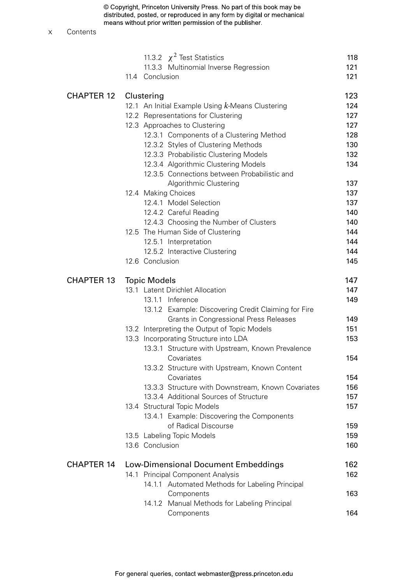#### x Contents

|                   | 11.3.2 $\chi^2$ Test Statistics                             | 118        |  |
|-------------------|-------------------------------------------------------------|------------|--|
|                   | 11.3.3 Multinomial Inverse Regression                       | 121        |  |
|                   | Conclusion<br>11.4                                          | 121        |  |
| <b>CHAPTER 12</b> | Clustering                                                  | 123        |  |
|                   | 12.1 An Initial Example Using k-Means Clustering            | 124        |  |
|                   | 12.2 Representations for Clustering                         | 127        |  |
|                   | 12.3 Approaches to Clustering                               | 127        |  |
|                   | 12.3.1 Components of a Clustering Method                    | 128        |  |
|                   | 12.3.2 Styles of Clustering Methods                         | 130        |  |
|                   | 12.3.3 Probabilistic Clustering Models                      | 132        |  |
|                   | 12.3.4 Algorithmic Clustering Models                        | 134        |  |
|                   | 12.3.5 Connections between Probabilistic and                |            |  |
|                   | Algorithmic Clustering<br>12.4 Making Choices               | 137<br>137 |  |
|                   | 12.4.1 Model Selection                                      | 137        |  |
|                   | 12.4.2 Careful Reading                                      | 140        |  |
|                   | 12.4.3 Choosing the Number of Clusters                      | 140        |  |
|                   | 12.5 The Human Side of Clustering                           | 144        |  |
|                   | 12.5.1 Interpretation                                       | 144        |  |
|                   | 12.5.2 Interactive Clustering                               | 144        |  |
|                   | 12.6 Conclusion                                             | 145        |  |
| <b>CHAPTER 13</b> | <b>Topic Models</b>                                         |            |  |
|                   | 13.1 Latent Dirichlet Allocation                            | 147        |  |
|                   | 13.1.1 Inference                                            | 149        |  |
|                   | 13.1.2 Example: Discovering Credit Claiming for Fire        |            |  |
|                   | Grants in Congressional Press Releases                      | 149        |  |
|                   | 13.2 Interpreting the Output of Topic Models                | 151        |  |
|                   | 13.3 Incorporating Structure into LDA                       | 153        |  |
|                   | 13.3.1 Structure with Upstream, Known Prevalence            |            |  |
|                   | Covariates                                                  | 154        |  |
|                   | 13.3.2 Structure with Upstream, Known Content<br>Covariates | 154        |  |
|                   | 13.3.3 Structure with Downstream, Known Covariates          | 156        |  |
|                   | 13.3.4 Additional Sources of Structure                      | 157        |  |
|                   | 13.4 Structural Topic Models                                | 157        |  |
|                   | 13.4.1 Example: Discovering the Components                  |            |  |
|                   | of Radical Discourse                                        | 159        |  |
|                   | 13.5 Labeling Topic Models                                  | 159        |  |
|                   | 13.6 Conclusion                                             | 160        |  |
| <b>CHAPTER 14</b> | Low-Dimensional Document Embeddings                         | 162        |  |
|                   | 14.1 Principal Component Analysis                           | 162        |  |
|                   | 14.1.1 Automated Methods for Labeling Principal             |            |  |
|                   | Components                                                  | 163        |  |
|                   | 14.1.2 Manual Methods for Labeling Principal                |            |  |
|                   | Components                                                  | 164        |  |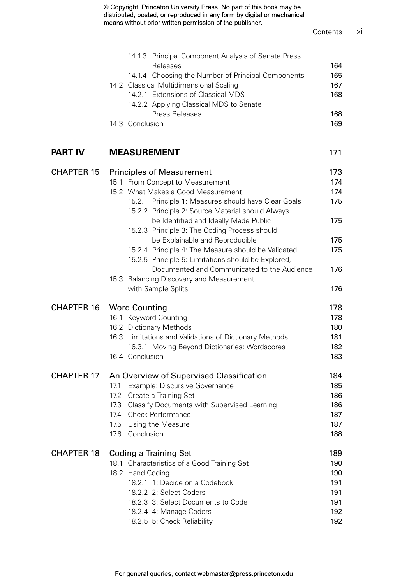Contents xi

| © Copyright, Princeton University Press. No part of this book may be    |
|-------------------------------------------------------------------------|
| distributed, posted, or reproduced in any form by digital or mechanical |
| means without prior written permission of the publisher.                |

|                   | 14.1.3 Principal Component Analysis of Senate Press<br>Releases                                            | 164        |
|-------------------|------------------------------------------------------------------------------------------------------------|------------|
|                   | 14.1.4 Choosing the Number of Principal Components                                                         | 165        |
|                   | 14.2 Classical Multidimensional Scaling                                                                    | 167        |
|                   | 14.2.1 Extensions of Classical MDS                                                                         | 168        |
|                   | 14.2.2 Applying Classical MDS to Senate                                                                    |            |
|                   | Press Releases                                                                                             | 168        |
|                   | 14.3 Conclusion                                                                                            | 169        |
| PART IV           | <b>MEASUREMENT</b>                                                                                         | 171        |
| <b>CHAPTER 15</b> | <b>Principles of Measurement</b>                                                                           | 173        |
|                   | 15.1 From Concept to Measurement                                                                           | 174        |
|                   | 15.2 What Makes a Good Measurement                                                                         | 174        |
|                   | 15.2.1 Principle 1: Measures should have Clear Goals<br>15.2.2 Principle 2: Source Material should Always  | 175        |
|                   | be Identified and Ideally Made Public<br>15.2.3 Principle 3: The Coding Process should                     | 175        |
|                   | be Explainable and Reproducible                                                                            | 175        |
|                   | 15.2.4 Principle 4: The Measure should be Validated<br>15.2.5 Principle 5: Limitations should be Explored, | 175        |
|                   | Documented and Communicated to the Audience<br>15.3 Balancing Discovery and Measurement                    | 176        |
|                   | with Sample Splits                                                                                         | 176        |
| CHAPTER 16        | <b>Word Counting</b>                                                                                       | 178        |
|                   | 16.1 Keyword Counting                                                                                      | 178        |
|                   | 16.2 Dictionary Methods                                                                                    | 180        |
|                   | 16.3 Limitations and Validations of Dictionary Methods                                                     | 181        |
|                   | 16.3.1 Moving Beyond Dictionaries: Wordscores                                                              | 182        |
|                   | 16.4 Conclusion                                                                                            | 183        |
| CHAPTER 17        | An Overview of Supervised Classification                                                                   | 184        |
|                   | 17.1 Example: Discursive Governance                                                                        | 185        |
|                   | 17.2 Create a Training Set                                                                                 | 186        |
|                   | 17.3 Classify Documents with Supervised Learning<br>17.4 Check Performance                                 | 186<br>187 |
|                   | 17.5 Using the Measure                                                                                     | 187        |
|                   | 17.6<br>Conclusion                                                                                         | 188        |
|                   |                                                                                                            |            |

| CHAPTER 18 | Coding a Training Set                       | 189 |
|------------|---------------------------------------------|-----|
|            | 18.1 Characteristics of a Good Training Set | 190 |
|            | 18.2 Hand Coding                            | 190 |
|            | 18.2.1 1: Decide on a Codebook              | 191 |
|            | 18.2.2 2: Select Coders                     | 191 |
|            | 18.2.3 3: Select Documents to Code          | 191 |
|            | 18.2.4 4: Manage Coders                     | 192 |
|            | 18.2.5 5: Check Reliability                 | 192 |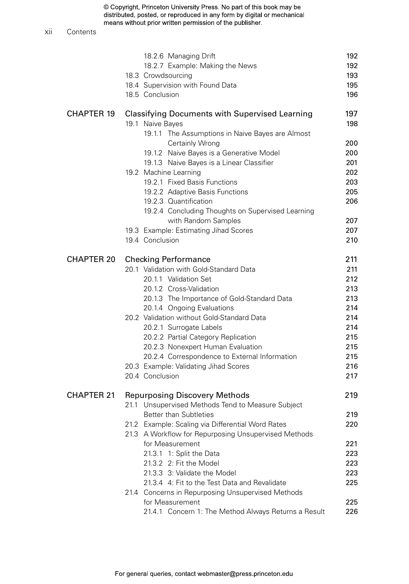### xii Contents

|                   | 18.2.6 Managing Drift<br>18.2.7 Example: Making the News<br>18.3 Crowdsourcing<br>18.4 Supervision with Found Data<br>18.5 Conclusion | 192<br>192<br>193<br>195<br>196 |  |
|-------------------|---------------------------------------------------------------------------------------------------------------------------------------|---------------------------------|--|
| <b>CHAPTER 19</b> | <b>Classifying Documents with Supervised Learning</b><br>19.1 Naive Bayes<br>19.1.1 The Assumptions in Naive Bayes are Almost         |                                 |  |
|                   | Certainly Wrong<br>19.1.2 Naive Bayes is a Generative Model                                                                           | 200<br>200                      |  |
|                   | 19.1.3 Naive Bayes is a Linear Classifier                                                                                             | 201                             |  |
|                   | 19.2 Machine Learning                                                                                                                 | 202                             |  |
|                   | 19.2.1 Fixed Basis Functions                                                                                                          | 203                             |  |
|                   | 19.2.2 Adaptive Basis Functions                                                                                                       | 205                             |  |
|                   | 19.2.3 Quantification                                                                                                                 | 206                             |  |
|                   | 19.2.4 Concluding Thoughts on Supervised Learning                                                                                     |                                 |  |
|                   | with Random Samples                                                                                                                   | 207                             |  |
|                   | 19.3 Example: Estimating Jihad Scores<br>19.4 Conclusion                                                                              | 207<br>210                      |  |
|                   |                                                                                                                                       |                                 |  |
| <b>CHAPTER 20</b> | <b>Checking Performance</b>                                                                                                           | 211                             |  |
|                   | 20.1 Validation with Gold-Standard Data                                                                                               | 211                             |  |
|                   | 20.1.1 Validation Set                                                                                                                 | 212                             |  |
|                   | 20.1.2 Cross-Validation                                                                                                               | 213                             |  |
|                   | 20.1.3 The Importance of Gold-Standard Data                                                                                           | 213                             |  |
|                   | 20.1.4 Ongoing Evaluations                                                                                                            | 214                             |  |
|                   | 20.2 Validation without Gold-Standard Data                                                                                            | 214                             |  |
|                   | 20.2.1 Surrogate Labels                                                                                                               | 214                             |  |
|                   | 20.2.2 Partial Category Replication<br>20.2.3 Nonexpert Human Evaluation                                                              | 215<br>215                      |  |
|                   | 20.2.4 Correspondence to External Information                                                                                         | 215                             |  |
|                   | 20.3 Example: Validating Jihad Scores                                                                                                 | 216                             |  |
|                   | 20.4 Conclusion                                                                                                                       | 217                             |  |
|                   |                                                                                                                                       |                                 |  |
| <b>CHAPTER 21</b> | <b>Repurposing Discovery Methods</b><br>21.1 Unsupervised Methods Tend to Measure Subject                                             | 219                             |  |
|                   | Better than Subtleties                                                                                                                | 219                             |  |
|                   | 21.2 Example: Scaling via Differential Word Rates                                                                                     | 220                             |  |
|                   | 21.3 A Workflow for Repurposing Unsupervised Methods                                                                                  |                                 |  |
|                   | for Measurement                                                                                                                       | 221                             |  |
|                   | 21.3.1 1: Split the Data                                                                                                              | 223                             |  |
|                   | 21.3.2 2: Fit the Model                                                                                                               | 223                             |  |
|                   | 21.3.3 3: Validate the Model                                                                                                          | 223                             |  |
|                   | 21.3.4 4: Fit to the Test Data and Revalidate                                                                                         | 225                             |  |
|                   | 21.4 Concerns in Repurposing Unsupervised Methods                                                                                     |                                 |  |
|                   | for Measurement                                                                                                                       | 225                             |  |
|                   | 21.4.1 Concern 1: The Method Always Returns a Result                                                                                  | 226                             |  |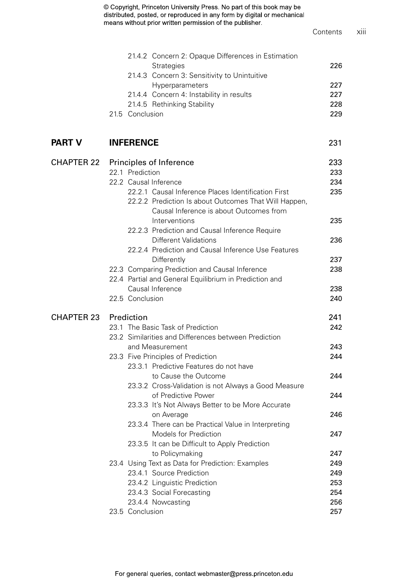Contents xiii

|               |                                            | 21.4.2 Concern 2: Opaque Differences in Estimation     |     |
|---------------|--------------------------------------------|--------------------------------------------------------|-----|
|               |                                            | Strategies                                             | 226 |
|               |                                            | 21.4.3 Concern 3: Sensitivity to Unintuitive           |     |
|               |                                            | Hyperparameters                                        | 227 |
|               |                                            | 21.4.4 Concern 4: Instability in results               | 227 |
|               |                                            | 21.4.5 Rethinking Stability                            | 228 |
|               | 21.5 Conclusion                            |                                                        | 229 |
| <b>PART V</b> | <b>INFERENCE</b>                           |                                                        | 231 |
| CHAPTER 22    |                                            |                                                        | 233 |
|               | Principles of Inference<br>22.1 Prediction |                                                        | 233 |
|               | 22.2 Causal Inference                      |                                                        | 234 |
|               |                                            | 22.2.1 Causal Inference Places Identification First    | 235 |
|               |                                            | 22.2.2 Prediction Is about Outcomes That Will Happen,  |     |
|               |                                            | Causal Inference is about Outcomes from                |     |
|               |                                            | Interventions                                          | 235 |
|               |                                            | 22.2.3 Prediction and Causal Inference Require         |     |
|               |                                            | <b>Different Validations</b>                           | 236 |
|               |                                            | 22.2.4 Prediction and Causal Inference Use Features    |     |
|               |                                            | Differently                                            | 237 |
|               |                                            | 22.3 Comparing Prediction and Causal Inference         | 238 |
|               |                                            | 22.4 Partial and General Equilibrium in Prediction and |     |
|               | Causal Inference                           |                                                        | 238 |
|               | 22.5 Conclusion                            |                                                        | 240 |
| CHAPTER 23    | Prediction                                 |                                                        | 241 |
|               | 23.1 The Basic Task of Prediction          |                                                        | 242 |
|               |                                            | 23.2 Similarities and Differences between Prediction   |     |
|               | and Measurement                            |                                                        | 243 |
|               | 23.3 Five Principles of Prediction         |                                                        | 244 |
|               |                                            | 23.3.1 Predictive Features do not have                 |     |
|               |                                            | to Cause the Outcome                                   | 244 |
|               |                                            | 23.3.2 Cross-Validation is not Always a Good Measure   |     |
|               |                                            | of Predictive Power                                    | 244 |
|               |                                            | 23.3.3 It's Not Always Better to be More Accurate      |     |
|               |                                            | on Average                                             | 246 |
|               |                                            | 23.3.4 There can be Practical Value in Interpreting    |     |
|               |                                            | Models for Prediction                                  | 247 |
|               |                                            | 23.3.5 It can be Difficult to Apply Prediction         |     |
|               |                                            | to Policymaking                                        | 247 |
|               |                                            | 23.4 Using Text as Data for Prediction: Examples       | 249 |
|               |                                            | 23.4.1 Source Prediction                               | 249 |
|               |                                            | 23.4.2 Linguistic Prediction                           | 253 |
|               |                                            | 23.4.3 Social Forecasting                              | 254 |
|               | 23.4.4 Nowcasting                          |                                                        | 256 |
|               | 23.5 Conclusion                            |                                                        | 257 |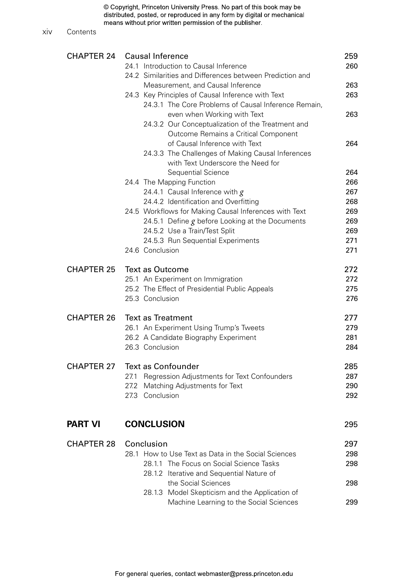### xiv Contents

|                   | <b>CHAPTER 24 Causal Inference</b>                       | 259 |
|-------------------|----------------------------------------------------------|-----|
|                   | 24.1 Introduction to Causal Inference                    | 260 |
|                   | 24.2 Similarities and Differences between Prediction and |     |
|                   | Measurement, and Causal Inference                        | 263 |
|                   | 24.3 Key Principles of Causal Inference with Text        | 263 |
|                   | 24.3.1 The Core Problems of Causal Inference Remain,     |     |
|                   | even when Working with Text                              | 263 |
|                   | 24.3.2 Our Conceptualization of the Treatment and        |     |
|                   | Outcome Remains a Critical Component                     |     |
|                   | of Causal Inference with Text                            | 264 |
|                   | 24.3.3 The Challenges of Making Causal Inferences        |     |
|                   | with Text Underscore the Need for                        |     |
|                   | Sequential Science                                       | 264 |
|                   | 24.4 The Mapping Function                                | 266 |
|                   | 24.4.1 Causal Inference with $g$                         | 267 |
|                   | 24.4.2 Identification and Overfitting                    | 268 |
|                   | 24.5 Workflows for Making Causal Inferences with Text    | 269 |
|                   | 24.5.1 Define $g$ before Looking at the Documents        | 269 |
|                   | 24.5.2 Use a Train/Test Split                            | 269 |
|                   | 24.5.3 Run Sequential Experiments                        | 271 |
|                   | 24.6 Conclusion                                          | 271 |
| <b>CHAPTER 25</b> | <b>Text as Outcome</b>                                   | 272 |
|                   | 25.1 An Experiment on Immigration                        | 272 |
|                   | 25.2 The Effect of Presidential Public Appeals           | 275 |
|                   | 25.3 Conclusion                                          | 276 |
| <b>CHAPTER 26</b> | <b>Text as Treatment</b>                                 | 277 |
|                   | 26.1 An Experiment Using Trump's Tweets                  | 279 |
|                   | 26.2 A Candidate Biography Experiment                    | 281 |
|                   | 26.3 Conclusion                                          | 284 |
| <b>CHAPTER 27</b> | <b>Text as Confounder</b>                                | 285 |
|                   | 27.1 Regression Adjustments for Text Confounders         | 287 |
|                   | 27.2 Matching Adjustments for Text                       | 290 |
|                   | 27.3 Conclusion                                          | 292 |
|                   |                                                          |     |
| <b>PART VI</b>    | <b>CONCLUSION</b>                                        | 295 |
| <b>CHAPTER 28</b> | Conclusion                                               | 297 |
|                   | 28.1 How to Use Text as Data in the Social Sciences      | 298 |
|                   | 28.1.1 The Focus on Social Science Tasks                 | 298 |
|                   | 28.1.2 Iterative and Sequential Nature of                |     |
|                   | the Social Sciences                                      | 298 |
|                   | 28.1.3 Model Skepticism and the Application of           |     |
|                   | Machine Learning to the Social Sciences                  | 299 |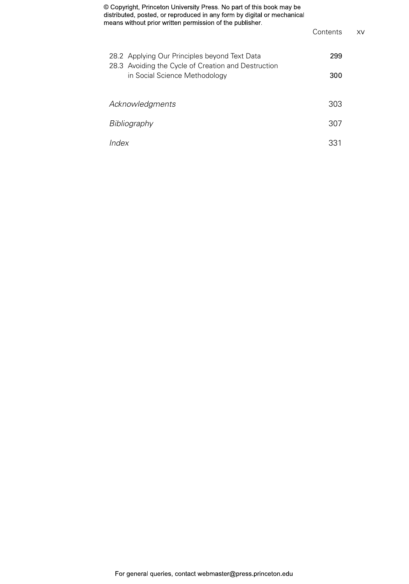| © Copyright, Princeton University Press. No part of this book may be<br>distributed, posted, or reproduced in any form by digital or mechanical<br>means without prior written permission of the publisher. |          |           |
|-------------------------------------------------------------------------------------------------------------------------------------------------------------------------------------------------------------|----------|-----------|
|                                                                                                                                                                                                             | Contents | <b>XV</b> |
| 28.2 Applying Our Principles beyond Text Data<br>28.3 Avoiding the Cycle of Creation and Destruction                                                                                                        | 299      |           |
| in Social Science Methodology                                                                                                                                                                               | 300      |           |
|                                                                                                                                                                                                             |          |           |
| Acknowledgments                                                                                                                                                                                             | 303      |           |
| Bibliography                                                                                                                                                                                                | 307      |           |
| Index                                                                                                                                                                                                       | 331      |           |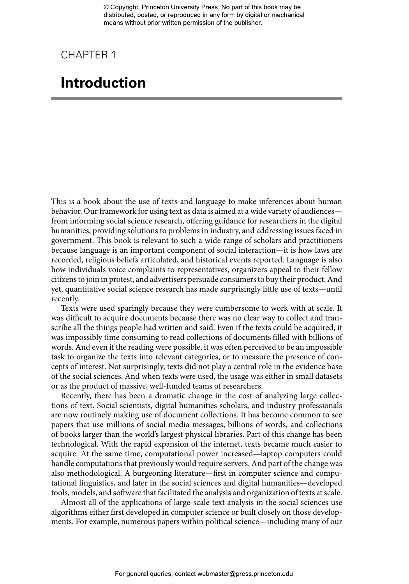# CHAPTER 1

# **Introduction**

This is a book about the use of texts and language to make inferences about human behavior. Our framework for using text as data is aimed at a wide variety of audiences from informing social science research, offering guidance for researchers in the digital humanities, providing solutions to problems in industry, and addressing issues faced in government. This book is relevant to such a wide range of scholars and practitioners because language is an important component of social interaction—it is how laws are recorded, religious beliefs articulated, and historical events reported. Language is also how individuals voice complaints to representatives, organizers appeal to their fellow citizens to join in protest, and advertisers persuade consumers to buy their product. And yet, quantitative social science research has made surprisingly little use of texts—until recently.

Texts were used sparingly because they were cumbersome to work with at scale. It was difficult to acquire documents because there was no clear way to collect and transcribe all the things people had written and said. Even if the texts could be acquired, it was impossibly time consuming to read collections of documents filled with billions of words. And even if the reading were possible, it was often perceived to be an impossible task to organize the texts into relevant categories, or to measure the presence of concepts of interest. Not surprisingly, texts did not play a central role in the evidence base of the social sciences. And when texts were used, the usage was either in small datasets or as the product of massive, well-funded teams of researchers.

Recently, there has been a dramatic change in the cost of analyzing large collections of text. Social scientists, digital humanities scholars, and industry professionals are now routinely making use of document collections. It has become common to see papers that use millions of social media messages, billions of words, and collections of books larger than the world's largest physical libraries. Part of this change has been technological. With the rapid expansion of the internet, texts became much easier to acquire. At the same time, computational power increased—laptop computers could handle computations that previously would require servers. And part of the change was also methodological. A burgeoning literature—first in computer science and computational linguistics, and later in the social sciences and digital humanities—developed tools, models, and software that facilitated the analysis and organization of texts at scale.

Almost all of the applications of large-scale text analysis in the social sciences use algorithms either first developed in computer science or built closely on those developments. For example, numerous papers within political science—including many of our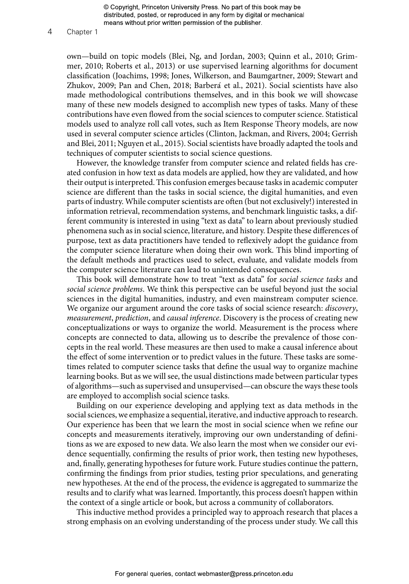#### 4 Chapter 1

own—build on topic models (Blei, Ng, and Jordan, 2003; Quinn et al., 2010; Grimmer, 2010; Roberts et al., 2013) or use supervised learning algorithms for document classification (Joachims, 1998; Jones, Wilkerson, and Baumgartner, 2009; Stewart and Zhukov, 2009; Pan and Chen, 2018; Barbera´ et al., 2021). Social scientists have also made methodological contributions themselves, and in this book we will showcase many of these new models designed to accomplish new types of tasks. Many of these contributions have even flowed from the social sciences to computer science. Statistical models used to analyze roll call votes, such as Item Response Theory models, are now used in several computer science articles (Clinton, Jackman, and Rivers, 2004; Gerrish and Blei, 2011; Nguyen et al., 2015). Social scientists have broadly adapted the tools and techniques of computer scientists to social science questions.

However, the knowledge transfer from computer science and related fields has created confusion in how text as data models are applied, how they are validated, and how their output is interpreted. This confusion emerges because tasks in academic computer science are different than the tasks in social science, the digital humanities, and even parts of industry. While computer scientists are often (but not exclusively!) interested in information retrieval, recommendation systems, and benchmark linguistic tasks, a different community is interested in using "text as data" to learn about previously studied phenomena such as in social science, literature, and history. Despite these differences of purpose, text as data practitioners have tended to reflexively adopt the guidance from the computer science literature when doing their own work. This blind importing of the default methods and practices used to select, evaluate, and validate models from the computer science literature can lead to unintended consequences.

This book will demonstrate how to treat "text as data" for *social science tasks* and *social science problems*. We think this perspective can be useful beyond just the social sciences in the digital humanities, industry, and even mainstream computer science. We organize our argument around the core tasks of social science research: *discovery*, *measurement*, *prediction*, and *causal inference*. Discovery is the process of creating new conceptualizations or ways to organize the world. Measurement is the process where concepts are connected to data, allowing us to describe the prevalence of those concepts in the real world. These measures are then used to make a causal inference about the effect of some intervention or to predict values in the future. These tasks are sometimes related to computer science tasks that define the usual way to organize machine learning books. But as we will see, the usual distinctions made between particular types of algorithms—such as supervised and unsupervised—can obscure the ways these tools are employed to accomplish social science tasks.

Building on our experience developing and applying text as data methods in the social sciences, we emphasize a sequential, iterative, and inductive approach to research. Our experience has been that we learn the most in social science when we refine our concepts and measurements iteratively, improving our own understanding of definitions as we are exposed to new data. We also learn the most when we consider our evidence sequentially, confirming the results of prior work, then testing new hypotheses, and, finally, generating hypotheses for future work. Future studies continue the pattern, confirming the findings from prior studies, testing prior speculations, and generating new hypotheses. At the end of the process, the evidence is aggregated to summarize the results and to clarify what was learned. Importantly, this process doesn't happen within the context of a single article or book, but across a community of collaborators.

This inductive method provides a principled way to approach research that places a strong emphasis on an evolving understanding of the process under study. We call this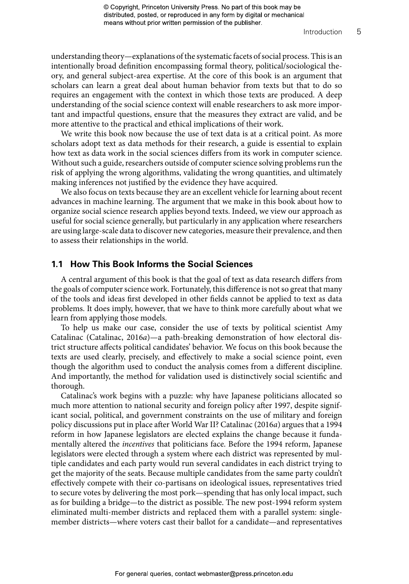understanding theory—explanations of the systematic facets of social process. This is an intentionally broad definition encompassing formal theory, political/sociological theory, and general subject-area expertise. At the core of this book is an argument that scholars can learn a great deal about human behavior from texts but that to do so requires an engagement with the context in which those texts are produced. A deep understanding of the social science context will enable researchers to ask more important and impactful questions, ensure that the measures they extract are valid, and be more attentive to the practical and ethical implications of their work.

We write this book now because the use of text data is at a critical point. As more scholars adopt text as data methods for their research, a guide is essential to explain how text as data work in the social sciences differs from its work in computer science. Without such a guide, researchers outside of computer science solving problems run the risk of applying the wrong algorithms, validating the wrong quantities, and ultimately making inferences not justified by the evidence they have acquired.

We also focus on texts because they are an excellent vehicle for learning about recent advances in machine learning. The argument that we make in this book about how to organize social science research applies beyond texts. Indeed, we view our approach as useful for social science generally, but particularly in any application where researchers are using large-scale data to discover new categories, measure their prevalence, and then to assess their relationships in the world.

# **1.1 How This Book Informs the Social Sciences**

A central argument of this book is that the goal of text as data research differs from the goals of computer science work. Fortunately, this difference is not so great that many of the tools and ideas first developed in other fields cannot be applied to text as data problems. It does imply, however, that we have to think more carefully about what we learn from applying those models.

To help us make our case, consider the use of texts by political scientist Amy Catalinac (Catalinac, 2016*a*)—a path-breaking demonstration of how electoral district structure affects political candidates' behavior. We focus on this book because the texts are used clearly, precisely, and effectively to make a social science point, even though the algorithm used to conduct the analysis comes from a different discipline. And importantly, the method for validation used is distinctively social scientific and thorough.

Catalinac's work begins with a puzzle: why have Japanese politicians allocated so much more attention to national security and foreign policy after 1997, despite significant social, political, and government constraints on the use of military and foreign policy discussions put in place after World War II? Catalinac (2016*a*) argues that a 1994 reform in how Japanese legislators are elected explains the change because it fundamentally altered the *incentives* that politicians face. Before the 1994 reform, Japanese legislators were elected through a system where each district was represented by multiple candidates and each party would run several candidates in each district trying to get the majority of the seats. Because multiple candidates from the same party couldn't effectively compete with their co-partisans on ideological issues, representatives tried to secure votes by delivering the most pork—spending that has only local impact, such as for building a bridge—to the district as possible. The new post-1994 reform system eliminated multi-member districts and replaced them with a parallel system: singlemember districts—where voters cast their ballot for a candidate—and representatives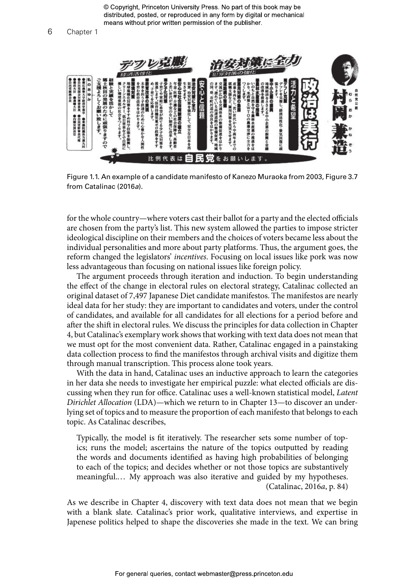

Figure 1.1. An example of a candidate manifesto of Kanezo Muraoka from 2003, Figure 3.7 from Catalinac (2016*a*).

for the whole country—where voters cast their ballot for a party and the elected officials are chosen from the party's list. This new system allowed the parties to impose stricter ideological discipline on their members and the choices of voters became less about the individual personalities and more about party platforms. Thus, the argument goes, the reform changed the legislators' *incentives*. Focusing on local issues like pork was now less advantageous than focusing on national issues like foreign policy.

The argument proceeds through iteration and induction. To begin understanding the effect of the change in electoral rules on electoral strategy, Catalinac collected an original dataset of 7,497 Japanese Diet candidate manifestos. The manifestos are nearly ideal data for her study: they are important to candidates and voters, under the control of candidates, and available for all candidates for all elections for a period before and after the shift in electoral rules. We discuss the principles for data collection in Chapter 4, but Catalinac's exemplary work shows that working with text data does not mean that we must opt for the most convenient data. Rather, Catalinac engaged in a painstaking data collection process to find the manifestos through archival visits and digitize them through manual transcription. This process alone took years.

With the data in hand, Catalinac uses an inductive approach to learn the categories in her data she needs to investigate her empirical puzzle: what elected officials are discussing when they run for office. Catalinac uses a well-known statistical model, *Latent Dirichlet Allocation* (LDA)—which we return to in Chapter 13—to discover an underlying set of topics and to measure the proportion of each manifesto that belongs to each topic. As Catalinac describes,

Typically, the model is fit iteratively. The researcher sets some number of topics; runs the model; ascertains the nature of the topics outputted by reading the words and documents identified as having high probabilities of belonging to each of the topics; and decides whether or not those topics are substantively meaningful.... My approach was also iterative and guided by my hypotheses. (Catalinac, 2016*a*, p. 84)

As we describe in Chapter 4, discovery with text data does not mean that we begin with a blank slate. Catalinac's prior work, qualitative interviews, and expertise in Japenese politics helped to shape the discoveries she made in the text. We can bring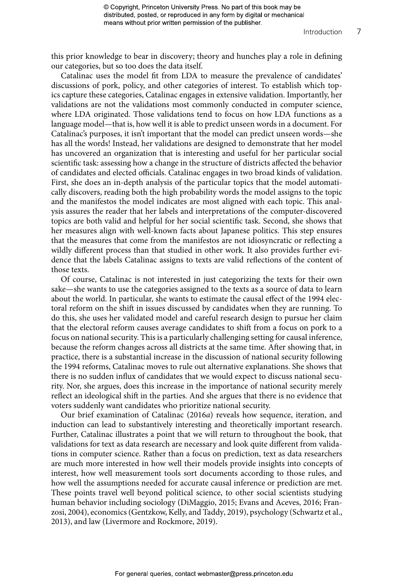this prior knowledge to bear in discovery; theory and hunches play a role in defining our categories, but so too does the data itself.

Catalinac uses the model fit from LDA to measure the prevalence of candidates' discussions of pork, policy, and other categories of interest. To establish which topics capture these categories, Catalinac engages in extensive validation. Importantly, her validations are not the validations most commonly conducted in computer science, where LDA originated. Those validations tend to focus on how LDA functions as a language model—that is, how well it is able to predict unseen words in a document. For Catalinac's purposes, it isn't important that the model can predict unseen words—she has all the words! Instead, her validations are designed to demonstrate that her model has uncovered an organization that is interesting and useful for her particular social scientific task: assessing how a change in the structure of districts affected the behavior of candidates and elected officials. Catalinac engages in two broad kinds of validation. First, she does an in-depth analysis of the particular topics that the model automatically discovers, reading both the high probability words the model assigns to the topic and the manifestos the model indicates are most aligned with each topic. This analysis assures the reader that her labels and interpretations of the computer-discovered topics are both valid and helpful for her social scientific task. Second, she shows that her measures align with well-known facts about Japanese politics. This step ensures that the measures that come from the manifestos are not idiosyncratic or reflecting a wildly different process than that studied in other work. It also provides further evidence that the labels Catalinac assigns to texts are valid reflections of the content of those texts.

Of course, Catalinac is not interested in just categorizing the texts for their own sake—she wants to use the categories assigned to the texts as a source of data to learn about the world. In particular, she wants to estimate the causal effect of the 1994 electoral reform on the shift in issues discussed by candidates when they are running. To do this, she uses her validated model and careful research design to pursue her claim that the electoral reform causes average candidates to shift from a focus on pork to a focus on national security. This is a particularly challenging setting for causal inference, because the reform changes across all districts at the same time. After showing that, in practice, there is a substantial increase in the discussion of national security following the 1994 reforms, Catalinac moves to rule out alternative explanations. She shows that there is no sudden influx of candidates that we would expect to discuss national security. Nor, she argues, does this increase in the importance of national security merely reflect an ideological shift in the parties. And she argues that there is no evidence that voters suddenly want candidates who prioritize national security.

Our brief examination of Catalinac (2016*a*) reveals how sequence, iteration, and induction can lead to substantively interesting and theoretically important research. Further, Catalinac illustrates a point that we will return to throughout the book, that validations for text as data research are necessary and look quite different from validations in computer science. Rather than a focus on prediction, text as data researchers are much more interested in how well their models provide insights into concepts of interest, how well measurement tools sort documents according to those rules, and how well the assumptions needed for accurate causal inference or prediction are met. These points travel well beyond political science, to other social scientists studying human behavior including sociology (DiMaggio, 2015; Evans and Aceves, 2016; Franzosi, 2004), economics (Gentzkow, Kelly, and Taddy, 2019), psychology (Schwartz et al., 2013), and law (Livermore and Rockmore, 2019).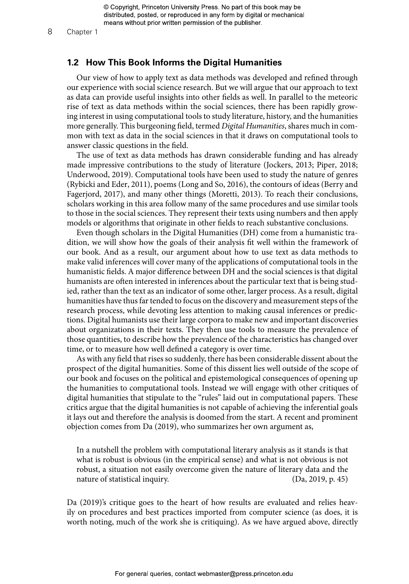## **1.2 How This Book Informs the Digital Humanities**

Our view of how to apply text as data methods was developed and refined through our experience with social science research. But we will argue that our approach to text as data can provide useful insights into other fields as well. In parallel to the meteoric rise of text as data methods within the social sciences, there has been rapidly growing interest in using computational tools to study literature, history, and the humanities more generally. This burgeoning field, termed *Digital Humanities*, shares much in common with text as data in the social sciences in that it draws on computational tools to answer classic questions in the field.

The use of text as data methods has drawn considerable funding and has already made impressive contributions to the study of literature (Jockers, 2013; Piper, 2018; Underwood, 2019). Computational tools have been used to study the nature of genres (Rybicki and Eder, 2011), poems (Long and So, 2016), the contours of ideas (Berry and Fagerjord, 2017), and many other things (Moretti, 2013). To reach their conclusions, scholars working in this area follow many of the same procedures and use similar tools to those in the social sciences. They represent their texts using numbers and then apply models or algorithms that originate in other fields to reach substantive conclusions.

Even though scholars in the Digital Humanities (DH) come from a humanistic tradition, we will show how the goals of their analysis fit well within the framework of our book. And as a result, our argument about how to use text as data methods to make valid inferences will cover many of the applications of computational tools in the humanistic fields. A major difference between DH and the social sciences is that digital humanists are often interested in inferences about the particular text that is being studied, rather than the text as an indicator of some other, larger process. As a result, digital humanities have thus far tended to focus on the discovery and measurement steps of the research process, while devoting less attention to making causal inferences or predictions. Digital humanists use their large corpora to make new and important discoveries about organizations in their texts. They then use tools to measure the prevalence of those quantities, to describe how the prevalence of the characteristics has changed over time, or to measure how well defined a category is over time.

As with any field that rises so suddenly, there has been considerable dissent about the prospect of the digital humanities. Some of this dissent lies well outside of the scope of our book and focuses on the political and epistemological consequences of opening up the humanities to computational tools. Instead we will engage with other critiques of digital humanities that stipulate to the "rules" laid out in computational papers. These critics argue that the digital humanities is not capable of achieving the inferential goals it lays out and therefore the analysis is doomed from the start. A recent and prominent objection comes from Da (2019), who summarizes her own argument as,

In a nutshell the problem with computational literary analysis as it stands is that what is robust is obvious (in the empirical sense) and what is not obvious is not robust, a situation not easily overcome given the nature of literary data and the nature of statistical inquiry. (Da, 2019, p. 45)

Da (2019)'s critique goes to the heart of how results are evaluated and relies heavily on procedures and best practices imported from computer science (as does, it is worth noting, much of the work she is critiquing). As we have argued above, directly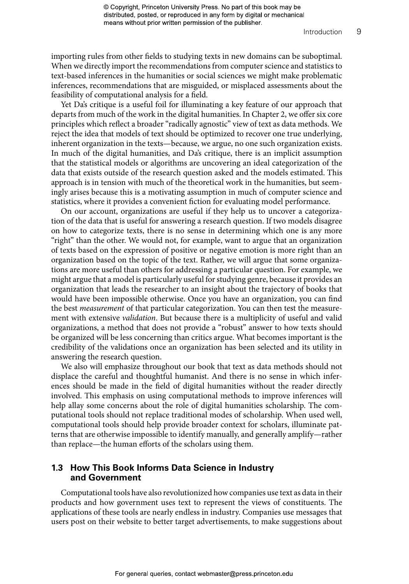importing rules from other fields to studying texts in new domains can be suboptimal. When we directly import the recommendations from computer science and statistics to text-based inferences in the humanities or social sciences we might make problematic inferences, recommendations that are misguided, or misplaced assessments about the feasibility of computational analysis for a field.

Yet Da's critique is a useful foil for illuminating a key feature of our approach that departs from much of the work in the digital humanities. In Chapter 2, we offer six core principles which reflect a broader "radically agnostic" view of text as data methods. We reject the idea that models of text should be optimized to recover one true underlying, inherent organization in the texts—because, we argue, no one such organization exists. In much of the digital humanities, and Da's critique, there is an implicit assumption that the statistical models or algorithms are uncovering an ideal categorization of the data that exists outside of the research question asked and the models estimated. This approach is in tension with much of the theoretical work in the humanities, but seemingly arises because this is a motivating assumption in much of computer science and statistics, where it provides a convenient fiction for evaluating model performance.

On our account, organizations are useful if they help us to uncover a categorization of the data that is useful for answering a research question. If two models disagree on how to categorize texts, there is no sense in determining which one is any more "right" than the other. We would not, for example, want to argue that an organization of texts based on the expression of positive or negative emotion is more right than an organization based on the topic of the text. Rather, we will argue that some organizations are more useful than others for addressing a particular question. For example, we might argue that a model is particularly useful for studying genre, because it provides an organization that leads the researcher to an insight about the trajectory of books that would have been impossible otherwise. Once you have an organization, you can find the best *measurement* of that particular categorization. You can then test the measurement with extensive *validation*. But because there is a multiplicity of useful and valid organizations, a method that does not provide a "robust" answer to how texts should be organized will be less concerning than critics argue. What becomes important is the credibility of the validations once an organization has been selected and its utility in answering the research question.

We also will emphasize throughout our book that text as data methods should not displace the careful and thoughtful humanist. And there is no sense in which inferences should be made in the field of digital humanities without the reader directly involved. This emphasis on using computational methods to improve inferences will help allay some concerns about the role of digital humanities scholarship. The computational tools should not replace traditional modes of scholarship. When used well, computational tools should help provide broader context for scholars, illuminate patterns that are otherwise impossible to identify manually, and generally amplify—rather than replace—the human efforts of the scholars using them.

# **1.3 How This Book Informs Data Science in Industry and Government**

Computational tools have also revolutionized how companies use text as data in their products and how government uses text to represent the views of constituents. The applications of these tools are nearly endless in industry. Companies use messages that users post on their website to better target advertisements, to make suggestions about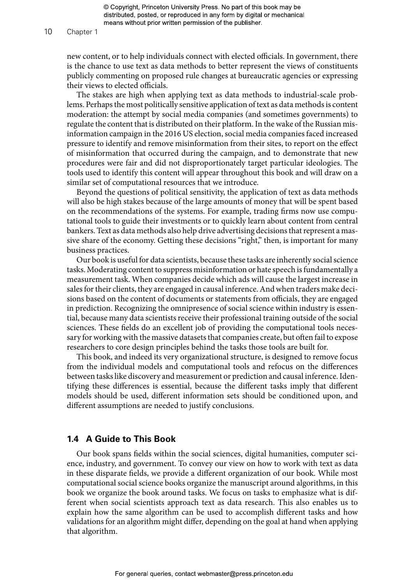new content, or to help individuals connect with elected officials. In government, there is the chance to use text as data methods to better represent the views of constituents publicly commenting on proposed rule changes at bureaucratic agencies or expressing their views to elected officials.

The stakes are high when applying text as data methods to industrial-scale problems. Perhaps the most politically sensitive application of text as data methods is content moderation: the attempt by social media companies (and sometimes governments) to regulate the content that is distributed on their platform. In the wake of the Russian misinformation campaign in the 2016 US election, social media companies faced increased pressure to identify and remove misinformation from their sites, to report on the effect of misinformation that occurred during the campaign, and to demonstrate that new procedures were fair and did not disproportionately target particular ideologies. The tools used to identify this content will appear throughout this book and will draw on a similar set of computational resources that we introduce.

Beyond the questions of political sensitivity, the application of text as data methods will also be high stakes because of the large amounts of money that will be spent based on the recommendations of the systems. For example, trading firms now use computational tools to guide their investments or to quickly learn about content from central bankers. Text as data methods also help drive advertising decisions that represent a massive share of the economy. Getting these decisions "right," then, is important for many business practices.

Our book is useful for data scientists, because these tasks are inherently social science tasks. Moderating content to suppress misinformation or hate speech is fundamentally a measurement task. When companies decide which ads will cause the largest increase in sales for their clients, they are engaged in causal inference. And when traders make decisions based on the content of documents or statements from officials, they are engaged in prediction. Recognizing the omnipresence of social science within industry is essential, because many data scientists receive their professional training outside of the social sciences. These fields do an excellent job of providing the computational tools necessary for working with the massive datasets that companies create, but often fail to expose researchers to core design principles behind the tasks those tools are built for.

This book, and indeed its very organizational structure, is designed to remove focus from the individual models and computational tools and refocus on the differences between tasks like discovery and measurement or prediction and causal inference. Identifying these differences is essential, because the different tasks imply that different models should be used, different information sets should be conditioned upon, and different assumptions are needed to justify conclusions.

# **1.4 A Guide to This Book**

Our book spans fields within the social sciences, digital humanities, computer science, industry, and government. To convey our view on how to work with text as data in these disparate fields, we provide a different organization of our book. While most computational social science books organize the manuscript around algorithms, in this book we organize the book around tasks. We focus on tasks to emphasize what is different when social scientists approach text as data research. This also enables us to explain how the same algorithm can be used to accomplish different tasks and how validations for an algorithm might differ, depending on the goal at hand when applying that algorithm.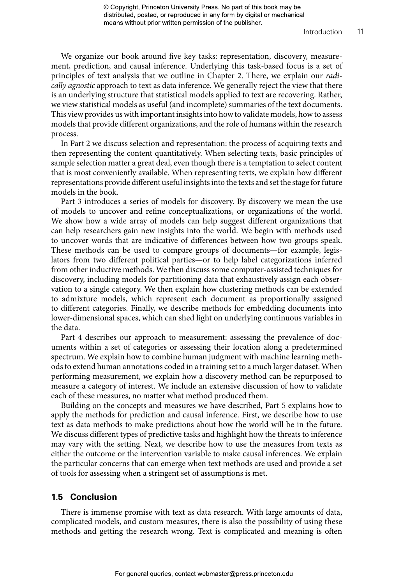We organize our book around five key tasks: representation, discovery, measurement, prediction, and causal inference. Underlying this task-based focus is a set of principles of text analysis that we outline in Chapter 2. There, we explain our *radically agnostic* approach to text as data inference. We generally reject the view that there is an underlying structure that statistical models applied to text are recovering. Rather, we view statistical models as useful (and incomplete) summaries of the text documents. This view provides us with important insights into how to validate models, how to assess models that provide different organizations, and the role of humans within the research process.

In Part 2 we discuss selection and representation: the process of acquiring texts and then representing the content quantitatively. When selecting texts, basic principles of sample selection matter a great deal, even though there is a temptation to select content that is most conveniently available. When representing texts, we explain how different representations provide different useful insights into the texts and set the stage for future models in the book.

Part 3 introduces a series of models for discovery. By discovery we mean the use of models to uncover and refine conceptualizations, or organizations of the world. We show how a wide array of models can help suggest different organizations that can help researchers gain new insights into the world. We begin with methods used to uncover words that are indicative of differences between how two groups speak. These methods can be used to compare groups of documents—for example, legislators from two different political parties—or to help label categorizations inferred from other inductive methods. We then discuss some computer-assisted techniques for discovery, including models for partitioning data that exhaustively assign each observation to a single category. We then explain how clustering methods can be extended to admixture models, which represent each document as proportionally assigned to different categories. Finally, we describe methods for embedding documents into lower-dimensional spaces, which can shed light on underlying continuous variables in the data.

Part 4 describes our approach to measurement: assessing the prevalence of documents within a set of categories or assessing their location along a predetermined spectrum. We explain how to combine human judgment with machine learning methods to extend human annotations coded in a training set to a much larger dataset. When performing measurement, we explain how a discovery method can be repurposed to measure a category of interest. We include an extensive discussion of how to validate each of these measures, no matter what method produced them.

Building on the concepts and measures we have described, Part 5 explains how to apply the methods for prediction and causal inference. First, we describe how to use text as data methods to make predictions about how the world will be in the future. We discuss different types of predictive tasks and highlight how the threats to inference may vary with the setting. Next, we describe how to use the measures from texts as either the outcome or the intervention variable to make causal inferences. We explain the particular concerns that can emerge when text methods are used and provide a set of tools for assessing when a stringent set of assumptions is met.

## **1.5 Conclusion**

There is immense promise with text as data research. With large amounts of data, complicated models, and custom measures, there is also the possibility of using these methods and getting the research wrong. Text is complicated and meaning is often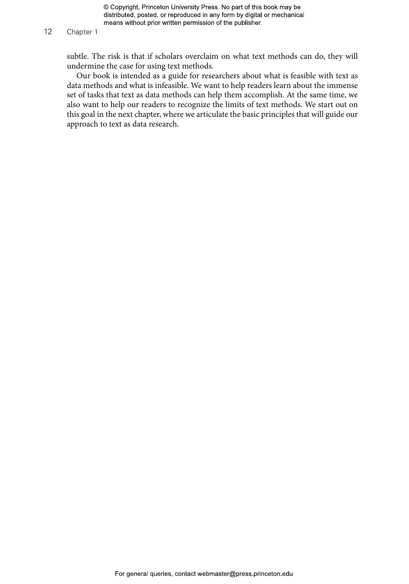### 12 Chapter 1

subtle. The risk is that if scholars overclaim on what text methods can do, they will undermine the case for using text methods.

Our book is intended as a guide for researchers about what is feasible with text as data methods and what is infeasible. We want to help readers learn about the immense set of tasks that text as data methods can help them accomplish. At the same time, we also want to help our readers to recognize the limits of text methods. We start out on this goal in the next chapter, where we articulate the basic principles that will guide our approach to text as data research.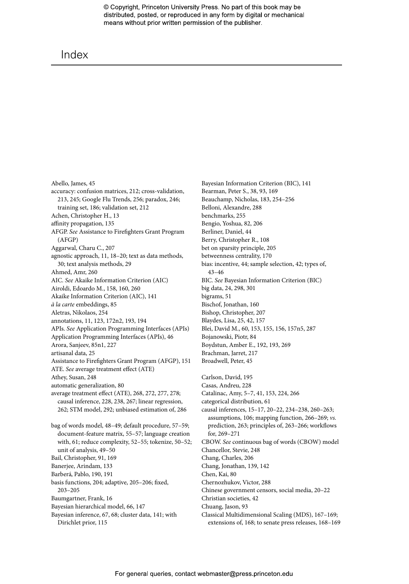# Index

Abello, James, 45 accuracy: confusion matrices, 212; cross-validation, 213, 245; Google Flu Trends, 256; paradox, 246; training set, 186; validation set, 212 Achen, Christopher H., 13 affinity propagation, 135 AFGP. *See* Assistance to Firefighters Grant Program (AFGP) Aggarwal, Charu C., 207 agnostic approach, 11, 18–20; text as data methods, 30; text analysis methods, 29 Ahmed, Amr, 260 AIC. *See* Akaike Information Criterion (AIC) Airoldi, Edoardo M., 158, 160, 260 Akaike Information Criterion (AIC), 141 *à la carte* embeddings, 85 Aletras, Nikolaos, 254 annotations, 11, 123, 172n2, 193, 194 APIs. *See* Application Programming Interfaces (APIs) Application Programming Interfaces (APIs), 46 Arora, Sanjeev, 85n1, 227 artisanal data, 25 Assistance to Firefighters Grant Program (AFGP), 151 ATE. *See* average treatment effect (ATE) Athey, Susan, 248 automatic generalization, 80 average treatment effect (ATE), 268, 272, 277, 278; causal inference, 228, 238, 267; linear regression, 262; STM model, 292; unbiased estimation of, 286 bag of words model, 48–49; default procedure, 57–59; document-feature matrix, 55–57; language creation with, 61; reduce complexity, 52–55; tokenize, 50–52; unit of analysis, 49–50 Bail, Christopher, 91, 169 Banerjee, Arindam, 133 Barbera´, Pablo, 190, 191 basis functions, 204; adaptive, 205–206; fixed, 203–205 Baumgartner, Frank, 16 Bayesian hierarchical model, 66, 147 Bayesian inference, 67, 68; cluster data, 141; with Dirichlet prior, 115

Bayesian Information Criterion (BIC), 141 Bearman, Peter S., 38, 93, 169 Beauchamp, Nicholas, 183, 254–256 Belloni, Alexandre, 288 benchmarks, 255 Bengio, Yoshua, 82, 206 Berliner, Daniel, 44 Berry, Christopher R., 108 bet on sparsity principle, 205 betweenness centrality, 170 bias: incentive, 44; sample selection, 42; types of, 43–46 BIC. *See* Bayesian Information Criterion (BIC) big data, 24, 298, 301 bigrams, 51 Bischof, Jonathan, 160 Bishop, Christopher, 207 Blaydes, Lisa, 25, 42, 157 Blei, David M., 60, 153, 155, 156, 157n5, 287 Bojanowski, Piotr, 84 Boydstun, Amber E., 192, 193, 269 Brachman, Jarret, 217 Broadwell, Peter, 45 Carlson, David, 195 Casas, Andreu, 228 Catalinac, Amy, 5–7, 41, 153, 224, 266 categorical distribution, 61 causal inferences, 15–17, 20–22, 234–238, 260–263; assumptions, 106; mapping function, 266–269; *vs.* prediction, 263; principles of, 263–266; workflows for, 269–271 CBOW. *See* continuous bag of words (CBOW) model Chancellor, Stevie, 248 Chang, Charles, 206 Chang, Jonathan, 139, 142 Chen, Kai, 80 Chernozhukov, Victor, 288 Chinese government censors, social media, 20–22 Christian societies, 42 Chuang, Jason, 93

Classical Multidimensional Scaling (MDS), 167–169; extensions of, 168; to senate press releases, 168–169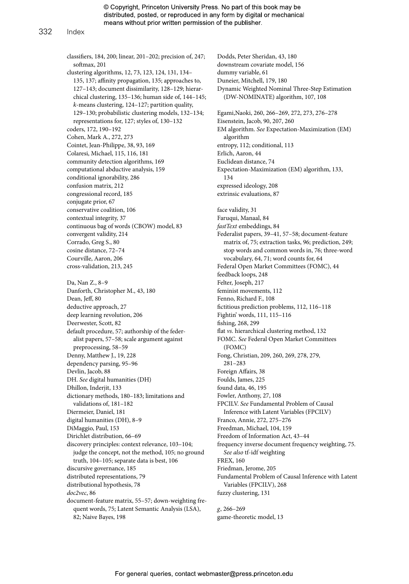#### 332 Index

classifiers, 184, 200; linear, 201–202; precision of, 247; softmax, 201 clustering algorithms, 12, 73, 123, 124, 131, 134– 135, 137; affinity propagation, 135; approaches to, 127–143; document dissimilarity, 128–129; hierarchical clustering, 135–136; human side of, 144–145; *k*-means clustering, 124–127; partition quality, 129–130; probabilistic clustering models, 132–134; representations for, 127; styles of, 130–132 coders, 172, 190–192 Cohen, Mark A., 272, 273 Cointet, Jean-Philippe, 38, 93, 169 Colaresi, Michael, 115, 116, 181 community detection algorithms, 169 computational abductive analysis, 159 conditional ignorability, 286 confusion matrix, 212 congressional record, 185 conjugate prior, 67 conservative coalition, 106 contextual integrity, 37 continuous bag of words (CBOW) model, 83 convergent validity, 214 Corrado, Greg S., 80 cosine distance, 72–74 Courville, Aaron, 206 cross-validation, 213, 245 Da, Nan Z., 8–9 Danforth, Christopher M., 43, 180 Dean, Jeff, 80 deductive approach, 27 deep learning revolution, 206 Deerwester, Scott, 82 default procedure, 57; authorship of the federalist papers, 57–58; scale argument against preprocessing, 58–59 Denny, Matthew J., 19, 228 dependency parsing, 95–96 Devlin, Jacob, 88 DH. *See* digital humanities (DH) Dhillon, Inderjit, 133 dictionary methods, 180–183; limitations and validations of, 181–182 Diermeier, Daniel, 181 digital humanities (DH), 8–9 DiMaggio, Paul, 153 Dirichlet distribution, 66–69 discovery principles: context relevance, 103–104; judge the concept, not the method, 105; no ground truth, 104–105; separate data is best, 106 discursive governance, 185 distributed representations, 79 distributional hypothesis, 78 *doc2vec*, 86 document-feature matrix, 55–57; down-weighting frequent words, 75; Latent Semantic Analysis (LSA), 82; Naive Bayes, 198

Dodds, Peter Sheridan, 43, 180 downstream covariate model, 156 dummy variable, 61 Duneier, Mitchell, 179, 180 Dynamic Weighted Nominal Three-Step Estimation (DW-NOMINATE) algorithm, 107, 108 Egami,Naoki, 260, 266–269, 272, 273, 276–278 Eisenstein, Jacob, 90, 207, 260 EM algorithm. *See* Expectation-Maximization (EM) algorithm entropy, 112; conditional, 113 Erlich, Aaron, 44 Euclidean distance, 74 Expectation-Maximization (EM) algorithm, 133, 134 expressed ideology, 208 extrinsic evaluations, 87 face validity, 31 Faruqui, Manaal, 84 *fastText* embeddings, 84 Federalist papers, 39–41, 57–58; document-feature matrix of, 75; extraction tasks, 96; prediction, 249; stop words and common words in, 76; three-word vocabulary, 64, 71; word counts for, 64 Federal Open Market Committees (FOMC), 44 feedback loops, 248 Felter, Joseph, 217 feminist movements, 112 Fenno, Richard F., 108 fictitious prediction problems, 112, 116–118 Fightin' words, 111, 115–116 fishing, 268, 299 flat *vs.* hierarchical clustering method, 132 FOMC. *See* Federal Open Market Committees (FOMC) Fong, Christian, 209, 260, 269, 278, 279, 281–283 Foreign Affairs, 38 Foulds, James, 225 found data, 46, 195 Fowler, Anthony, 27, 108 FPCILV. *See* Fundamental Problem of Causal Inference with Latent Variables (FPCILV) Franco, Annie, 272, 275–276 Freedman, Michael, 104, 159 Freedom of Information Act, 43–44 frequency inverse document frequency weighting, 75. *See also* tf-idf weighting FREX, 160 Friedman, Jerome, 205 Fundamental Problem of Causal Inference with Latent Variables (FPCILV), 268 fuzzy clustering, 131 *g*, 266–269

For general queries, contact webmaster@press.princeton.edu

game-theoretic model, 13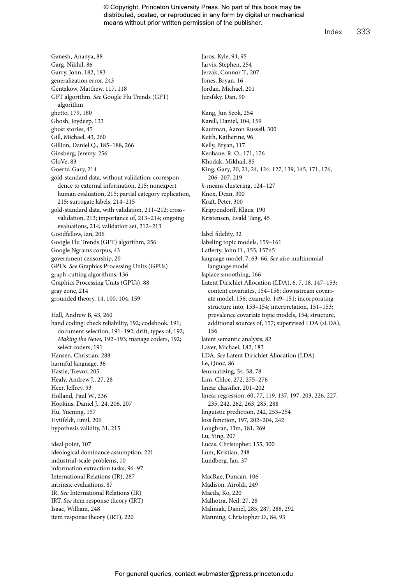Index 333

Ganesh, Ananya, 88 Garg, Nikhil, 86 Garry, John, 182, 183 generalization error, 243 Gentzkow, Matthew, 117, 118 GFT algorithm. *See* Google Flu Trends (GFT) algorithm ghetto, 179, 180 Ghosh, Joydeep, 133 ghost stories, 45 Gill, Michael, 43, 260 Gillion, Daniel Q., 185–188, 266 Ginsberg, Jeremy, 256 GloVe, 83 Goertz, Gary, 214 gold-standard data, without validation: correspondence to external information, 215; nonexpert human evaluation, 215; partial category replication, 215; surrogate labels, 214–215 gold-standard data, with validation, 211–212; crossvalidation, 213; importance of, 213–214; ongoing evaluations, 214; validation set, 212–213 Goodfellow, Ian, 206 Google Flu Trends (GFT) algorithm, 256 Google Ngrams corpus, 43 government censorship, 20 GPUs. *See* Graphics Processing Units (GPUs) graph-cutting algorithms, 136 Graphics Processing Units (GPUs), 88 gray zone, 214 grounded theory, 14, 100, 104, 159 Hall, Andrew B, 43, 260 hand coding: check reliability, 192; codebook, 191; document selection, 191–192; drift, types of, 192; *Making the News,* 192–193; manage coders, 192; select coders, 191 Hansen, Christian, 288 harmful language, 36 Hastie, Trevor, 205 Healy, Andrew J., 27, 28 Heer, Jeffrey, 93 Holland, Paul W., 236 Hopkins, Daniel J., 24, 206, 207 Hu, Yuening, 157 Hvitfeldt, Emil, 206 hypothesis validity, 31, 215 ideal point, 107 ideological dominance assumption, 221 industrial-scale problems, 10 information extraction tasks, 96–97 International Relations (IR), 287 intrinsic evaluations, 87 IR. *See* International Relations (IR) IRT. *See* item response theory (IRT) Isaac, William, 248

item response theory (IRT), 220

Jaros, Kyle, 94, 95 Jarvis, Stephen, 254 Jerzak, Connor T., 207 Jones, Bryan, 16 Jordan, Michael, 201 Jursfsky, Dan, 90 Kang, Jun Seok, 254 Karell, Daniel, 104, 159 Kaufman, Aaron Russell, 300 Keith, Katherine, 96 Kelly, Bryan, 117 Keohane, R. O., 171, 176 Khodak, Mikhail, 85 King, Gary, 20, 21, 24, 124, 127, 139, 145, 171, 176, 206–207, 219 *k*-means clustering, 124–127 Knox, Dean, 300 Kraft, Peter, 300 Krippendorff, Klaus, 190 Kristensen, Evald Tang, 45 label fidelity, 32 labeling topic models, 159–161 Lafferty, John D., 155, 157n5 language model, 7, 63–66. *See also* multinomial language model laplace smoothing, 166 Latent Dirichlet Allocation (LDA), 6, 7, 18, 147–153; content covariates, 154–156; downstream covariate model, 156; example, 149–151; incorporating structure into, 153–154; interpretation, 151–153; prevalence covariate topic models, 154; structure, additional sources of, 157; supervised LDA (sLDA), 156 latent semantic analysis, 82 Laver, Michael, 182, 183 LDA. *See* Latent Dirichlet Allocation (LDA) Le, Quoc, 86 lemmatizing, 54, 58, 78 Lim, Chloe, 272, 275–276 linear classifier, 201–202 linear regression, 60, 77, 119, 137, 197, 203, 226, 227, 235, 242, 262, 263, 285, 288 linguistic prediction, 242, 253–254 loss function, 197, 202–204, 242 Loughran, Tim, 181, 269 Lu, Ying, 207 Lucas, Christopher, 155, 300 Lum, Kristian, 248 Lundberg, Ian, 37 MacRae, Duncan, 106 Madison. Airoldi, 249 Maeda, Ko, 220 Malhotra, Neil, 27, 28 Maliniak, Daniel, 285, 287, 288, 292

Manning, Christopher D., 84, 93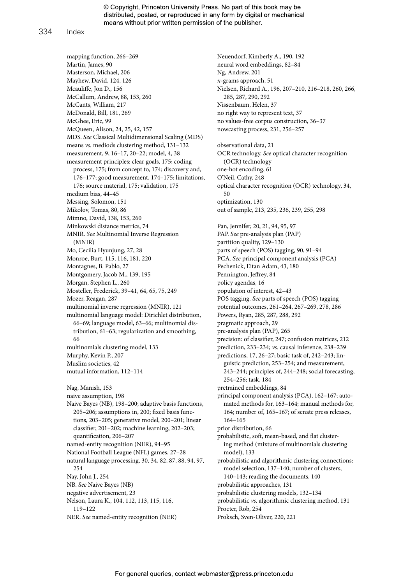mapping function, 266–269 Martin, James, 90 Masterson, Michael, 206 Mayhew, David, 124, 126 Mcauliffe, Jon D., 156 McCallum, Andrew, 88, 153, 260 McCants, William, 217 McDonald, Bill, 181, 269 McGhee, Eric, 99 McQueen, Alison, 24, 25, 42, 157 MDS. *See* Classical Multidimensional Scaling (MDS) means *vs.* mediods clustering method, 131–132 measurement, 9, 16–17, 20–22; model, 4, 38 measurement principles: clear goals, 175; coding process, 175; from concept to, 174; discovery and, 176–177; good measurement, 174–175; limitations, 176; source material, 175; validation, 175 medium bias, 44–45 Messing, Solomon, 151 Mikolov, Tomas, 80, 86 Mimno, David, 138, 153, 260 Minkowski distance metrics, 74 MNIR. *See* Multinomial Inverse Regression (MNIR) Mo, Cecilia Hyunjung, 27, 28 Monroe, Burt, 115, 116, 181, 220 Montagnes, B. Pablo, 27 Montgomery, Jacob M., 139, 195 Morgan, Stephen L., 260 Mosteller, Frederick, 39–41, 64, 65, 75, 249 Mozer, Reagan, 287 multinomial inverse regression (MNIR), 121 multinomial language model: Dirichlet distribution, 66–69; language model, 63–66; multinomial distribution, 61–63; regularization and smoothing, 66 multinomials clustering model, 133 Murphy, Kevin P., 207 Muslim societies, 42 mutual information, 112–114 Nag, Manish, 153 naive assumption, 198 Naive Bayes (NB), 198–200; adaptive basis functions, 205–206; assumptions in, 200; fixed basis functions, 203–205; generative model, 200–201; linear classifier, 201–202; machine learning, 202–203; quantification, 206–207 named-entity recognition (NER), 94–95 National Football League (NFL) games, 27–28 natural language processing, 30, 34, 82, 87, 88, 94, 97, 254 Nay, John J., 254 NB. *See* Naive Bayes (NB) negative advertisement, 23 Nelson, Laura K., 104, 112, 113, 115, 116, 119–122 NER. *See* named-entity recognition (NER)

Neuendorf, Kimberly A., 190, 192 neural word embeddings, 82–84 Ng, Andrew, 201 *n*-grams approach, 51 Nielsen, Richard A., 196, 207–210, 216–218, 260, 266, 285, 287, 290, 292 Nissenbaum, Helen, 37 no right way to represent text, 37 no values-free corpus construction, 36–37 nowcasting process, 231, 256–257 observational data, 21 OCR technology. *See* optical character recognition (OCR) technology one-hot encoding, 61 O'Neil, Cathy, 248 optical character recognition (OCR) technology, 34, 50 optimization, 130 out of sample, 213, 235, 236, 239, 255, 298 Pan, Jennifer, 20, 21, 94, 95, 97 PAP. *See* pre-analysis plan (PAP) partition quality, 129–130 parts of speech (POS) tagging, 90, 91–94 PCA. *See* principal component analysis (PCA) Pechenick, Eitan Adam, 43, 180 Pennington, Jeffrey, 84 policy agendas, 16 population of interest, 42–43 POS tagging. *See* parts of speech (POS) tagging potential outcomes, 261–264, 267–269, 278, 286 Powers, Ryan, 285, 287, 288, 292 pragmatic approach, 29 pre-analysis plan (PAP), 265 precision: of classifier, 247; confusion matrices, 212 prediction, 233–234; *vs.* causal inference, 238–239 predictions, 17, 26–27; basic task of, 242–243; linguistic prediction, 253–254; and measurement, 243–244; principles of, 244–248; social forecasting, 254–256; task, 184 pretrained embeddings, 84 principal component analysis (PCA), 162–167; automated methods for, 163–164; manual methods for, 164; number of, 165–167; of senate press releases, 164–165 prior distribution, 66 probabilistic, soft, mean-based, and flat clustering method (mixture of multinomials clustering model), 133 probabilistic and algorithmic clustering connections: model selection, 137–140; number of clusters, 140–143; reading the documents, 140 probabilistic approaches, 131 probabilistic clustering models, 132–134 probabilistic *vs.* algorithmic clustering method, 131 Procter, Rob, 254 Proksch, Sven-Oliver, 220, 221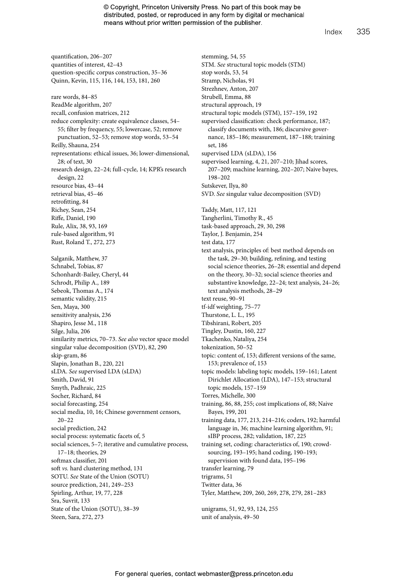Index 335

quantification, 206–207 quantities of interest, 42–43 question-specific corpus construction, 35–36 Quinn, Kevin, 115, 116, 144, 153, 181, 260 rare words, 84–85 ReadMe algorithm, 207 recall, confusion matrices, 212 reduce complexity: create equivalence classes, 54– 55; filter by frequency, 55; lowercase, 52; remove punctuation, 52–53; remove stop words, 53–54 Reilly, Shauna, 254 representations: ethical issues, 36; lower-dimensional, 28; of text, 30 research design, 22–24; full-cycle, 14; KPR's research design, 22 resource bias, 43–44 retrieval bias, 45–46 retrofitting, 84 Richey, Sean, 254 Riffe, Daniel, 190 Rule, Alix, 38, 93, 169 rule-based algorithm, 91 Rust, Roland T., 272, 273 Salganik, Matthew, 37 Schnabel, Tobias, 87 Schonhardt-Bailey, Cheryl, 44 Schrodt, Philip A., 189 Sebeok, Thomas A., 174 semantic validity, 215 Sen, Maya, 300 sensitivity analysis, 236 Shapiro, Jesse M., 118 Silge, Julia, 206 similarity metrics, 70–73. *See also* vector space model singular value decomposition (SVD), 82, 290 skip-gram, 86 Slapin, Jonathan B., 220, 221 sLDA. *See* supervised LDA (sLDA) Smith, David, 91 Smyth, Padhraic, 225 Socher, Richard, 84 social forecasting, 254 social media, 10, 16; Chinese government censors, 20–22 social prediction, 242 social process: systematic facets of, 5 social sciences, 5–7; iterative and cumulative process, 17–18; theories, 29 softmax classifier, 201 soft *vs.* hard clustering method, 131 SOTU. *See* State of the Union (SOTU) source prediction, 241, 249–253 Spirling, Arthur, 19, 77, 228 Sra, Suvrit, 133 State of the Union (SOTU), 38–39 Steen, Sara, 272, 273

stemming, 54, 55 STM. *See* structural topic models (STM) stop words, 53, 54 Stramp, Nicholas, 91 Strezhnev, Anton, 207 Strubell, Emma, 88 structural approach, 19 structural topic models (STM), 157–159, 192 supervised classification: check performance, 187; classify documents with, 186; discursive governance, 185–186; measurement, 187–188; training set, 186 supervised LDA (sLDA), 156 supervised learning, 4, 21, 207–210; Jihad scores, 207–209; machine learning, 202–207; Naive bayes, 198–202 Sutskever, Ilya, 80 SVD. *See* singular value decomposition (SVD) Taddy, Matt, 117, 121 Tangherlini, Timothy R., 45 task-based approach, 29, 30, 298 Taylor, J. Benjamin, 254 test data, 177 text analysis, principles of: best method depends on the task, 29–30; building, refining, and testing social science theories, 26–28; essential and depend on the theory, 30–32; social science theories and substantive knowledge, 22–24; text analysis, 24–26; text analysis methods, 28–29 text reuse, 90–91 tf-idf weighting, 75–77 Thurstone, L. L., 195 Tibshirani, Robert, 205 Tingley, Dustin, 160, 227 Tkachenko, Nataliya, 254 tokenization, 50–52 topic: content of, 153; different versions of the same, 153; prevalence of, 153 topic models: labeling topic models, 159–161; Latent Dirichlet Allocation (LDA), 147–153; structural topic models, 157–159 Torres, Michelle, 300 training, 86, 88, 255; cost implications of, 88; Naive Bayes, 199, 201 training data, 177, 213, 214–216; coders, 192; harmful language in, 36; machine learning algorithm, 91; sIBP process, 282; validation, 187, 225 training set, coding: characteristics of, 190; crowdsourcing, 193–195; hand coding, 190–193; supervision with found data, 195–196 transfer learning, 79 trigrams, 51 Twitter data, 36 Tyler, Matthew, 209, 260, 269, 278, 279, 281–283 unigrams, 51, 92, 93, 124, 255

unit of analysis, 49–50